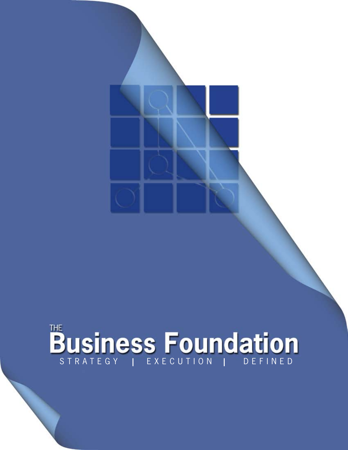# *business*  STRATEGY*foundation* **<sup>|</sup>** EXECUTION **<sup>|</sup>** DEFINED

The BUSINESS FOUNDATION  $\mathcal{L}$  and  $\mathcal{L}$  and  $\mathcal{L}$  and  $\mathcal{L}$  and  $\mathcal{L}$  and  $\mathcal{L}$ 

THE BUSINESS FOUNDATION © 2007 BUSINESS FOUNDATION CORPORATION. ALL RIGHTS RESERVED.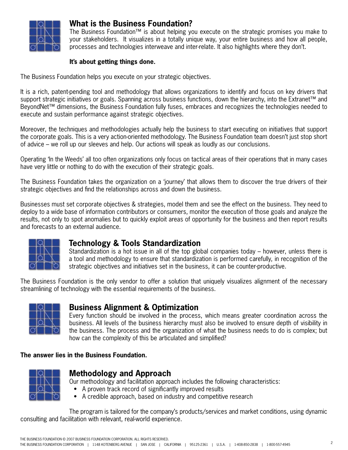

# **What is the Business Foundation?**

The Business Foundation™ is about helping you execute on the strategic promises you make to your stakeholders. It visualizes in a totally unique way, your entire business and how all people, processes and technologies interweave and inter-relate. It also highlights where they don't.

### **It's about getting things done.**

The Business Foundation helps you execute on your strategic objectives.

It is a rich, patent-pending tool and methodology that allows organizations to identify and focus on key drivers that support strategic initiatives or goals. Spanning across business functions, down the hierarchy, into the Extranet™ and BeyondNet™ dimensions, the Business Foundation fully fuses, embraces and recognizes the technologies needed to execute and sustain performance against strategic objectives.

Moreover, the techniques and methodologies actually help the business to start executing on initiatives that support the corporate goals. This is a very action-oriented methodology. The Business Foundation team doesn't just stop short of advice – we roll up our sleeves and help. Our actions will speak as loudly as our conclusions.

Operating 'In the Weeds' all too often organizations only focus on tactical areas of their operations that in many cases have very little or nothing to do with the execution of their strategic goals.

The Business Foundation takes the organization on a 'journey' that allows them to discover the true drivers of their strategic objectives and find the relationships across and down the business.

Businesses must set corporate objectives & strategies, model them and see the effect on the business. They need to deploy to a wide base of information contributors or consumers, monitor the execution of those goals and analyze the results, not only to spot anomalies but to quickly exploit areas of opportunity for the business and then report results and forecasts to an external audience.



## **Technology & Tools Standardization**

Standardization is a hot issue in all of the top global companies today – however, unless there is a tool and methodology to ensure that standardization is performed carefully, in recognition of the strategic objectives and initiatives set in the business, it can be counter-productive.

The Business Foundation is the only vendor to offer a solution that uniquely visualizes alignment of the necessary streamlining of technology with the essential requirements of the business.



## **Business Alignment & Optimization**

Every function should be involved in the process, which means greater coordination across the business. All levels of the business hierarchy must also be involved to ensure depth of visibility in the business. The process and the organization of what the business needs to do is complex; but how can the complexity of this be articulated and simplified?

#### **The answer lies in the Business Foundation.**



## **Methodology and Approach**

Our methodology and facilitation approach includes the following characteristics:

- A proven track record of significantly improved results
- A credible approach, based on industry and competitive research

The program is tailored for the company's products/services and market conditions, using dynamic consulting and facilitation with relevant, real-world experience.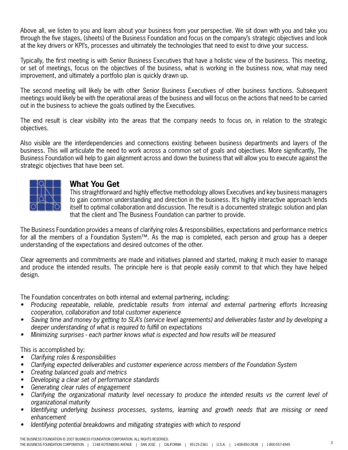Above all, we listen to you and learn about your business from your perspective. We sit down with you and take you through the five stages, (sheets) of the Business Foundation and focus on the company's strategic objectives and look at the key drivers or KPI's, processes and ultimately the technologies that need to exist to drive your success.

Typically, the first meeting is with Senior Business Executives that have a holistic view of the business. This meeting, or set of meetings, focus on the objectives of the business, what is working in the business now, what may need improvement, and ultimately a portfolio plan is quickly drawn up.

The second meeting will likely be with other Senior Business Executives of other business functions. Subsequent meetings would likely be with the operational areas of the business and will focus on the actions that need to be carried out in the business to achieve the goals outlined by the Executives.

The end result is clear visibility into the areas that the company needs to focus on, in relation to the strategic objectives.

Also visible are the interdependencies and connections existing between business departments and layers of the business. This will articulate the need to work across a common set of goals and objectives. More significantly, The Business Foundation will help to gain alignment across and down the business that will allow you to execute against the strategic objectives that have been set.



## **What You Get**

This straightforward and highly effective methodology allows Executives and key business managers to gain common understanding and direction in the business. It's highly interactive approach lends itself to optimal collaboration and discussion. The result is a documented strategic solution and plan that the client and The Business Foundation can partner to provide.

The Business Foundation provides a means of clarifying roles & responsibilities, expectations and performance metrics for all the members of a Foundation System™. As the map is completed, each person and group has a deeper understanding of the expectations and desired outcomes of the other.

Clear agreements and commitments are made and initiatives planned and started, making it much easier to manage and produce the intended results. The principle here is that people easily commit to that which they have helped design.

The Foundation concentrates on both internal and external partnering, including:

- • *Producing repeatable, reliable, predictable results from internal and external partnering efforts Increasing cooperation, collaboration and total customer experience*
- Saving time and money by getting to SLA's (service level agreements) and deliverables faster and by developing a *deeper understanding of what is required to fulfill on expectations*
- • *Minimizing surprises each partner knows what is expected and how results will be measured*

This is accomplished by:

- • *Clarifying roles & responsibilities*
- • *Clarifying expected deliverables and customer experience across members of the Foundation System*
- *Creating balanced goals and metrics*
- Developing a clear set of performance standards
- Generating clear rules of engagement
- Clarifying the organizational maturity level necessary to produce the intended results vs the current level of *organizational maturity*
- • *Identifying underlying business processes, systems, learning and growth needs that are missing or need enhancement*
- Identifying potential breakdowns and mitigating strategies with which to respond